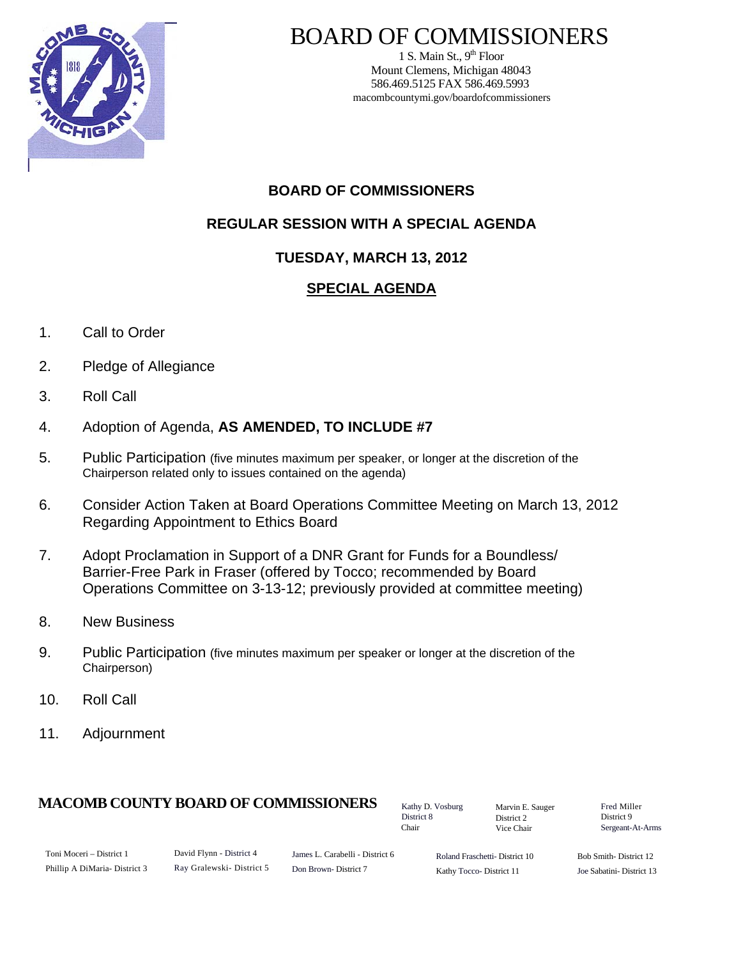

# BOARD OF COMMISSIONERS

1 S. Main St.,  $9<sup>th</sup>$  Floor Mount Clemens, Michigan 48043 586.469.5125 FAX 586.469.5993 macombcountymi.gov/boardofcommissioners

## **BOARD OF COMMISSIONERS**

**REGULAR SESSION WITH A SPECIAL AGENDA** 

## **TUESDAY, MARCH 13, 2012**

## **SPECIAL AGENDA**

- 1. Call to Order
- 2. Pledge of Allegiance
- 3. Roll Call
- 4. Adoption of Agenda, **AS AMENDED, TO INCLUDE #7**
- 5. Public Participation (five minutes maximum per speaker, or longer at the discretion of the Chairperson related only to issues contained on the agenda)
- 6. Consider Action Taken at Board Operations Committee Meeting on March 13, 2012 Regarding Appointment to Ethics Board
- 7. Adopt Proclamation in Support of a DNR Grant for Funds for a Boundless/ Barrier-Free Park in Fraser (offered by Tocco; recommended by Board Operations Committee on 3-13-12; previously provided at committee meeting)
- 8. New Business
- 9. Public Participation (five minutes maximum per speaker or longer at the discretion of the Chairperson)
- 10. Roll Call
- 11. Adjournment

## **MACOMB COUNTY BOARD OF COMMISSIONERS** Factor D. Vosburg Marvin F. Sauger Fred Miller

Kathy D. Vosburg District 8 Chair

Marvin E. Sauger District 2 Vice Chair

District 9 Sergeant-At-Arms

| Toni Moceri – District 1      |
|-------------------------------|
| Phillip A DiMaria- District 3 |

James L. Carabelli - District 6 Don Brown- District 7

Roland Fraschetti- District 10 Kathy Tocco- District 11

Bob Smith- District 12 Joe Sabatini- District 13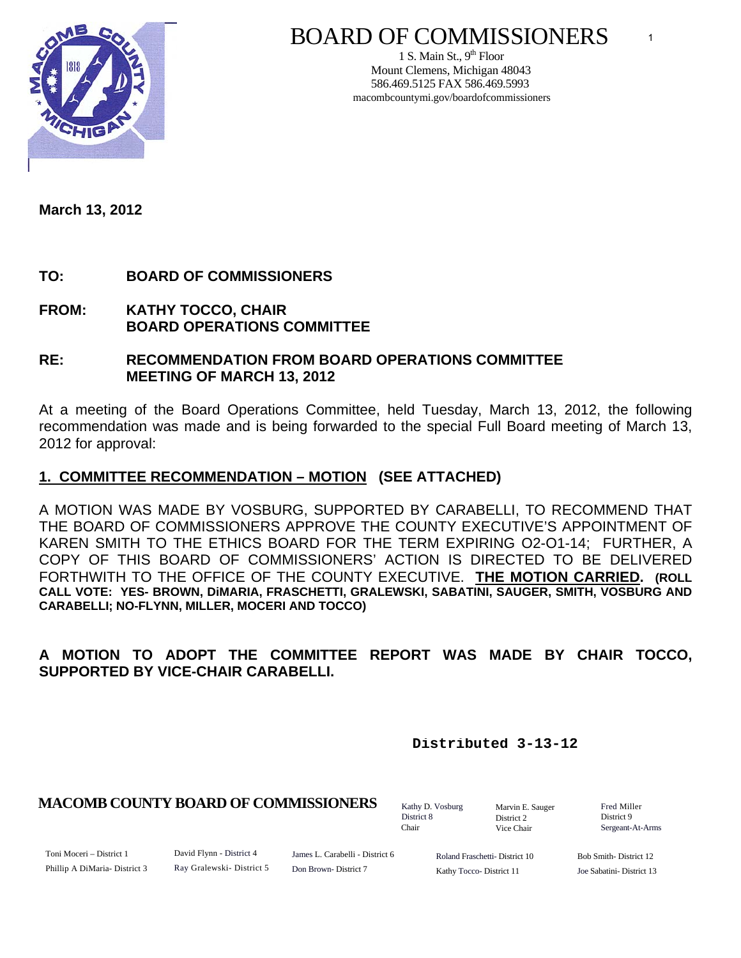

# BOARD OF COMMISSIONERS

1 S. Main St.,  $9<sup>th</sup>$  Floor Mount Clemens, Michigan 48043 586.469.5125 FAX 586.469.5993 macombcountymi.gov/boardofcommissioners

**March 13, 2012** 

## **TO: BOARD OF COMMISSIONERS**

**FROM: KATHY TOCCO, CHAIR BOARD OPERATIONS COMMITTEE** 

#### **RE: RECOMMENDATION FROM BOARD OPERATIONS COMMITTEE MEETING OF MARCH 13, 2012**

At a meeting of the Board Operations Committee, held Tuesday, March 13, 2012, the following recommendation was made and is being forwarded to the special Full Board meeting of March 13, 2012 for approval:

### **1. COMMITTEE RECOMMENDATION – MOTION (SEE ATTACHED)**

A MOTION WAS MADE BY VOSBURG, SUPPORTED BY CARABELLI, TO RECOMMEND THAT THE BOARD OF COMMISSIONERS APPROVE THE COUNTY EXECUTIVE'S APPOINTMENT OF KAREN SMITH TO THE ETHICS BOARD FOR THE TERM EXPIRING O2-O1-14; FURTHER, A COPY OF THIS BOARD OF COMMISSIONERS' ACTION IS DIRECTED TO BE DELIVERED FORTHWITH TO THE OFFICE OF THE COUNTY EXECUTIVE. **THE MOTION CARRIED. (ROLL CALL VOTE: YES- BROWN, DiMARIA, FRASCHETTI, GRALEWSKI, SABATINI, SAUGER, SMITH, VOSBURG AND CARABELLI; NO-FLYNN, MILLER, MOCERI AND TOCCO)** 

## **A MOTION TO ADOPT THE COMMITTEE REPORT WAS MADE BY CHAIR TOCCO, SUPPORTED BY VICE-CHAIR CARABELLI.**

**Distributed 3-13-12**

#### **MACOMB COUNTY BOARD OF COMMISSIONERS** Fathy D. Vosburg Martin E. Square Fred Miller

Kathy D. Vosburg District 8 Chair

Marvin E. Sauger District 2 Vice Chair

District 9 Sergeant-At-Arms

1

Toni Moceri – District 1 Phillip A DiMaria- District 3 David Flynn - District 4 Ray Gralewski- District 5

James L. Carabelli - District 6 Don Brown- District 7

Roland Fraschetti- District 10 Kathy Tocco- District 11

Bob Smith- District 12 Joe Sabatini- District 13